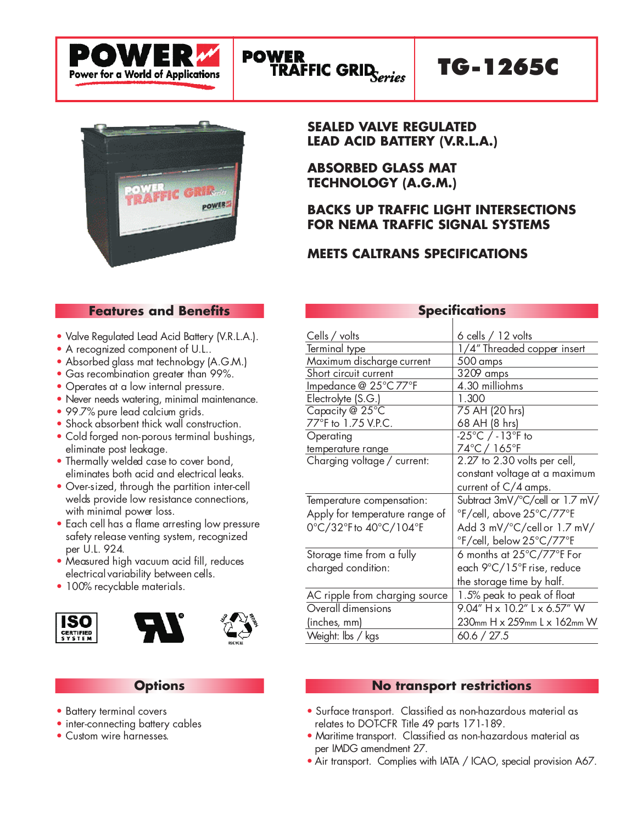

## TG-1265C



#### **SEALED VALVE REGULATED LEAD ACID BATTERY (V.R.L.A.)**

**ABSORBED GLASS MAT TECHNOLOGY (A.G.M.)**

#### **BACKS UP TRAFFIC LIGHT INTERSECTIONS FOR NEMA TRAFFIC SIGNAL SYSTEMS**

#### **MEETS CALTRANS SPECIFICATIONS**

#### **Features and Benefits**

- Valve Regulated Lead Acid Battery (V.R.L.A.).
- A recognized component of U.L..
- Absorbed glass mat technology (A.G.M.)
- Gas recombination greater than 99%.
- Operates at a low internal pressure.
- Never needs watering, minimal maintenance.
- 99.7% pure lead calcium grids.
- Shock absorbent thick wall construction.
- Cold forged non-porous terminal bushings, eliminate post leakage.
- Thermally welded case to cover bond, eliminates both acid and electrical leaks.
- Over-sized, through the partition inter-cell welds provide low resistance connections, with minimal power loss.
- Each cell has a flame arresting low pressure safety release venting system, recognized per U.L. 924.
- Measured high vacuum acid fill, reduces electrical variability between cells.
- 100% recyclable materials.







#### **Options**

- Battery terminal covers
- inter-connecting battery cables
- Custom wire harnesses.

| <b>Specifications</b>          |                                                 |  |  |  |
|--------------------------------|-------------------------------------------------|--|--|--|
|                                |                                                 |  |  |  |
| Cells / volts                  | $6$ cells $/12$ volts                           |  |  |  |
| <u>Terminal type</u>           | 1/4" Threaded copper insert                     |  |  |  |
| Maximum discharge current      | 500 amps                                        |  |  |  |
| Short circuit current          | 3209 amps                                       |  |  |  |
| Impedance @ 25°C 77°F          | 4.30 milliohms                                  |  |  |  |
| Electrolyte (S.G.)             | 1.300                                           |  |  |  |
| Capacity @ 25°C                | 75 AH (20 hrs)                                  |  |  |  |
| 77°F to 1.75 V.P.C.            | 68 AH (8 hrs)                                   |  |  |  |
| Operating                      | $-25^{\circ}$ C / $-13^{\circ}$ F to            |  |  |  |
| temperature range              | 74°C / 165°F                                    |  |  |  |
| Charging voltage / current:    | 2.27 to 2.30 volts per cell,                    |  |  |  |
|                                | constant voltage at a maximum                   |  |  |  |
|                                | current of $C/4$ amps.                          |  |  |  |
| Temperature compensation:      | Subtract 3mV/°C/cell or 1.7 mV/                 |  |  |  |
| Apply for temperature range of | °F/cell, above 25°C/77°F.                       |  |  |  |
| 0°C/32°Fto 40°C/104°F          | Add 3 mV/°C/cell or 1.7 mV/                     |  |  |  |
|                                | °F/cell, below 25°C/77°F                        |  |  |  |
| Storage time from a fully      | 6 months at $25^{\circ}$ C/77 $^{\circ}$ F. For |  |  |  |
| charged condition:             | each 9°C/15°F rise, reduce                      |  |  |  |
|                                | the storage time by half.                       |  |  |  |
| AC ripple from charging source | 1.5% peak to peak of float                      |  |  |  |
| Overall dimensions             | 9.04" H x 10.2" L x 6.57" W                     |  |  |  |
| (inches, mm)                   | 230mm H x 259mm L x 162mm W                     |  |  |  |
| Weight: Ibs / kgs              | 60.6 / 27.5                                     |  |  |  |

#### **No transport restrictions**

- Surface transport. Classified as non-hazardous material as relates to DOT-CFR Title 49 parts 171-189.
- Maritime transport. Classified as non-hazardous material as per IMDG amendment 27.
- Air transport. Complies with IATA / ICAO, special provision A67.